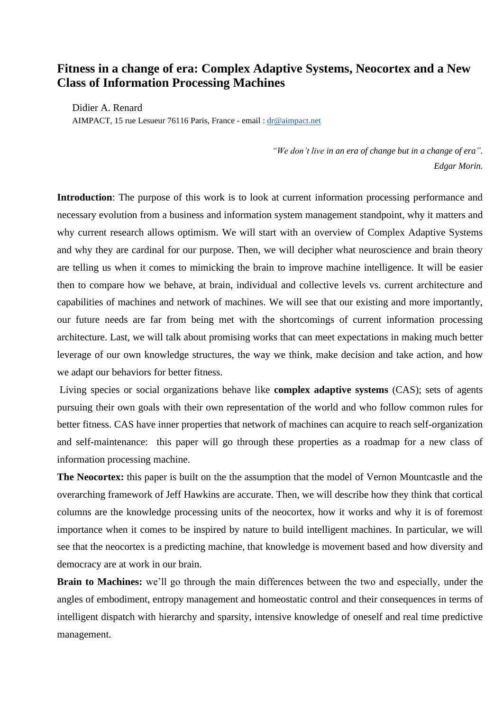## **Fitness in a change of era: Complex Adaptive Systems, Neocortex and a New Class of Information Processing Machines**

Didier A. Renard AIMPACT, 15 rue Lesueur 76116 Paris, France - email : [dr@aimpact.net](mailto:dr@aimpact.net)

> *"We don't live in an era of change but in a change of era". Edgar Morin.*

**Introduction**: The purpose of this work is to look at current information processing performance and necessary evolution from a business and information system management standpoint, why it matters and why current research allows optimism. We will start with an overview of Complex Adaptive Systems and why they are cardinal for our purpose. Then, we will decipher what neuroscience and brain theory are telling us when it comes to mimicking the brain to improve machine intelligence. It will be easier then to compare how we behave, at brain, individual and collective levels vs. current architecture and capabilities of machines and network of machines. We will see that our existing and more importantly, our future needs are far from being met with the shortcomings of current information processing architecture. Last, we will talk about promising works that can meet expectations in making much better leverage of our own knowledge structures, the way we think, make decision and take action, and how we adapt our behaviors for better fitness.

Living species or social organizations behave like **complex adaptive systems** (CAS); sets of agents pursuing their own goals with their own representation of the world and who follow common rules for better fitness. CAS have inner properties that network of machines can acquire to reach self-organization and self-maintenance: this paper will go through these properties as a roadmap for a new class of information processing machine.

**The Neocortex:** this paper is built on the the assumption that the model of Vernon Mountcastle and the overarching framework of Jeff Hawkins are accurate. Then, we will describe how they think that cortical columns are the knowledge processing units of the neocortex, how it works and why it is of foremost importance when it comes to be inspired by nature to build intelligent machines. In particular, we will see that the neocortex is a predicting machine, that knowledge is movement based and how diversity and democracy are at work in our brain.

**Brain to Machines:** we'll go through the main differences between the two and especially, under the angles of embodiment, entropy management and homeostatic control and their consequences in terms of intelligent dispatch with hierarchy and sparsity, intensive knowledge of oneself and real time predictive management.